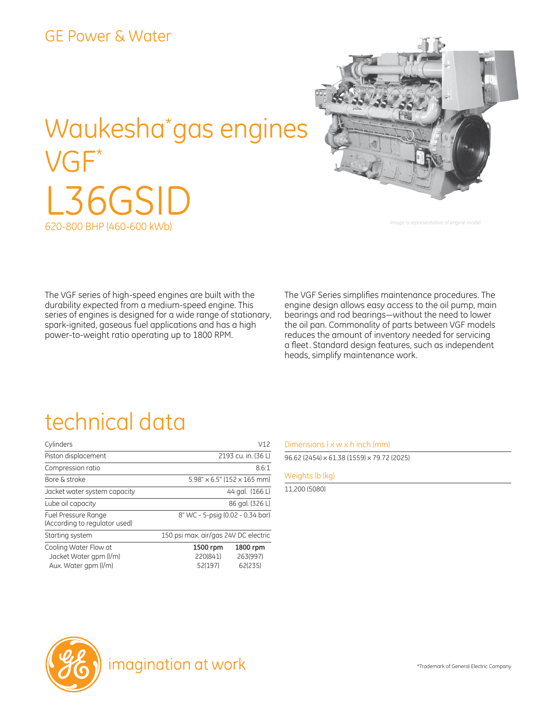#### GE Power & Water

# Waukesha\* gas engines VGF\* L36GSID 620-800 BHP (460-600 kWb)



*Image is representative of engine model*

The VGF series of high-speed engines are built with the durability expected from a medium-speed engine. This series of engines is designed for a wide range of stationary, spark-ignited, gaseous fuel applications and has a high power-to-weight ratio operating up to 1800 RPM.

The VGF Series simplifies maintenance procedures. The engine design allows easy access to the oil pump, main bearings and rod bearings―without the need to lower the oil pan. Commonality of parts between VGF models reduces the amount of inventory needed for servicing a fleet. Standard design features, such as independent heads, simplify maintenance work.

## technical data

| Cylinders                                                               |                                             | V12                             |  |
|-------------------------------------------------------------------------|---------------------------------------------|---------------------------------|--|
| Piston displacement                                                     | 2193 cu. in. (36 L)                         |                                 |  |
| Compression ratio                                                       | 8.6:1                                       |                                 |  |
| Bore & stroke                                                           | $5.98'' \times 6.5''$ (152 $\times$ 165 mm) |                                 |  |
| Jacket water system capacity                                            | 44 gal. (166 L)                             |                                 |  |
| Lube oil capacity                                                       | 86 gal. (326 L)                             |                                 |  |
| Fuel Pressure Range<br>(According to regulator used)                    | 8" WC - 5-psig (0.02 - 0.34 bar)            |                                 |  |
| Starting system                                                         | 150 psi max. air/gas 24V DC electric        |                                 |  |
| Cooling Water Flow at<br>Jacket Water gpm (I/m)<br>Aux. Water gpm (I/m) | 1500 rpm<br>220(841)<br>52(197)             | 1800 rpm<br>263(997)<br>62(235) |  |

#### Dimensions  $l \times w \times h$  inch (mm)

96.62 (2454) x 61.38 (1559) x 79.72 (2025)

Weights lb (kg)

11,200 (5080)